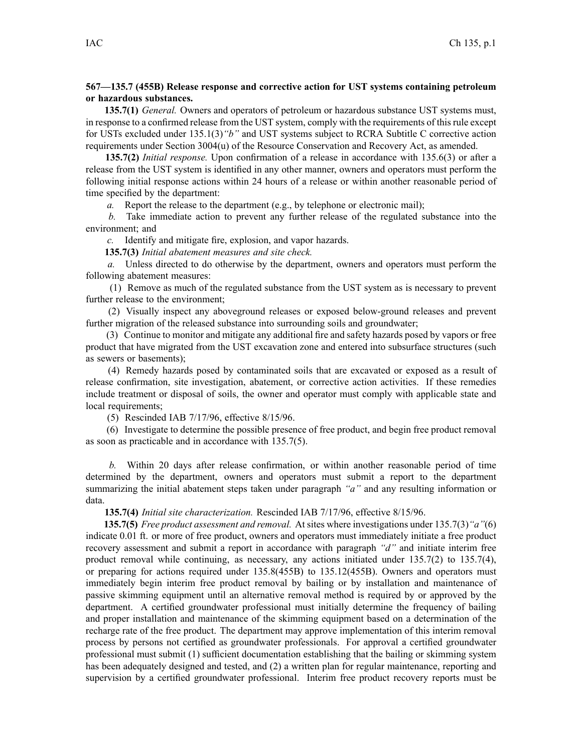## **567—135.7 (455B) Release response and corrective action for UST systems containing petroleum or hazardous substances.**

**135.7(1)** *General.* Owners and operators of petroleum or hazardous substance UST systems must, in response to <sup>a</sup> confirmed release from the UST system, comply with the requirements of thisrule excep<sup>t</sup> for USTs excluded under 135.1(3)*"b"* and UST systems subject to RCRA Subtitle C corrective action requirements under Section 3004(u) of the Resource Conservation and Recovery Act, as amended.

**135.7(2)** *Initial response.* Upon confirmation of <sup>a</sup> release in accordance with 135.6(3) or after <sup>a</sup> release from the UST system is identified in any other manner, owners and operators must perform the following initial response actions within 24 hours of <sup>a</sup> release or within another reasonable period of time specified by the department:

*a.* Report the release to the department (e.g., by telephone or electronic mail);

*b.* Take immediate action to preven<sup>t</sup> any further release of the regulated substance into the environment; and

*c.* Identify and mitigate fire, explosion, and vapor hazards.

**135.7(3)** *Initial abatement measures and site check.*

*a.* Unless directed to do otherwise by the department, owners and operators must perform the following abatement measures:

(1) Remove as much of the regulated substance from the UST system as is necessary to preven<sup>t</sup> further release to the environment;

(2) Visually inspect any aboveground releases or exposed below-ground releases and preven<sup>t</sup> further migration of the released substance into surrounding soils and groundwater;

(3) Continue to monitor and mitigate any additional fire and safety hazards posed by vapors or free product that have migrated from the UST excavation zone and entered into subsurface structures (such as sewers or basements);

(4) Remedy hazards posed by contaminated soils that are excavated or exposed as <sup>a</sup> result of release confirmation, site investigation, abatement, or corrective action activities. If these remedies include treatment or disposal of soils, the owner and operator must comply with applicable state and local requirements;

(5) Rescinded IAB 7/17/96, effective 8/15/96.

(6) Investigate to determine the possible presence of free product, and begin free product removal as soon as practicable and in accordance with 135.7(5).

*b.* Within 20 days after release confirmation, or within another reasonable period of time determined by the department, owners and operators must submit <sup>a</sup> repor<sup>t</sup> to the department summarizing the initial abatement steps taken under paragraph *"a"* and any resulting information or data.

**135.7(4)** *Initial site characterization.* Rescinded IAB 7/17/96, effective 8/15/96.

**135.7(5)** *Free product assessment and removal.* At sites where investigations under 135.7(3)*"a"*(6) indicate 0.01 ft. or more of free product, owners and operators must immediately initiate <sup>a</sup> free product recovery assessment and submit <sup>a</sup> repor<sup>t</sup> in accordance with paragraph *"d"* and initiate interim free product removal while continuing, as necessary, any actions initiated under 135.7(2) to 135.7(4), or preparing for actions required under 135.8(455B) to 135.12(455B). Owners and operators must immediately begin interim free product removal by bailing or by installation and maintenance of passive skimming equipment until an alternative removal method is required by or approved by the department. A certified groundwater professional must initially determine the frequency of bailing and proper installation and maintenance of the skimming equipment based on <sup>a</sup> determination of the recharge rate of the free product. The department may approve implementation of this interim removal process by persons not certified as groundwater professionals. For approval <sup>a</sup> certified groundwater professional must submit (1) sufficient documentation establishing that the bailing or skimming system has been adequately designed and tested, and (2) <sup>a</sup> written plan for regular maintenance, reporting and supervision by <sup>a</sup> certified groundwater professional. Interim free product recovery reports must be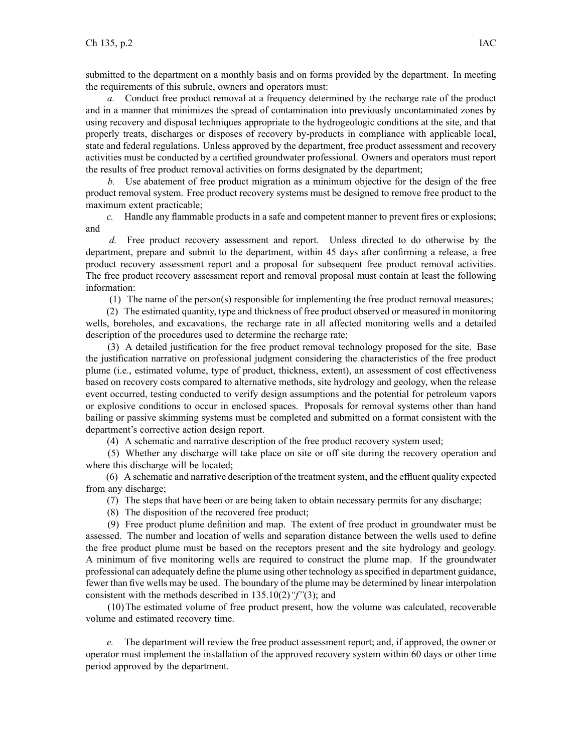submitted to the department on <sup>a</sup> monthly basis and on forms provided by the department. In meeting the requirements of this subrule, owners and operators must:

*a.* Conduct free product removal at <sup>a</sup> frequency determined by the recharge rate of the product and in <sup>a</sup> manner that minimizes the spread of contamination into previously uncontaminated zones by using recovery and disposal techniques appropriate to the hydrogeologic conditions at the site, and that properly treats, discharges or disposes of recovery by-products in compliance with applicable local, state and federal regulations. Unless approved by the department, free product assessment and recovery activities must be conducted by <sup>a</sup> certified groundwater professional. Owners and operators must repor<sup>t</sup> the results of free product removal activities on forms designated by the department;

*b.* Use abatement of free product migration as <sup>a</sup> minimum objective for the design of the free product removal system. Free product recovery systems must be designed to remove free product to the maximum extent practicable;

*c.* Handle any flammable products in <sup>a</sup> safe and competent manner to preven<sup>t</sup> fires or explosions; and

*d.* Free product recovery assessment and report. Unless directed to do otherwise by the department, prepare and submit to the department, within 45 days after confirming <sup>a</sup> release, <sup>a</sup> free product recovery assessment repor<sup>t</sup> and <sup>a</sup> proposal for subsequent free product removal activities. The free product recovery assessment repor<sup>t</sup> and removal proposal must contain at least the following information:

(1) The name of the person(s) responsible for implementing the free product removal measures;

(2) The estimated quantity, type and thickness of free product observed or measured in monitoring wells, boreholes, and excavations, the recharge rate in all affected monitoring wells and <sup>a</sup> detailed description of the procedures used to determine the recharge rate;

(3) A detailed justification for the free product removal technology proposed for the site. Base the justification narrative on professional judgment considering the characteristics of the free product plume (i.e., estimated volume, type of product, thickness, extent), an assessment of cost effectiveness based on recovery costs compared to alternative methods, site hydrology and geology, when the release event occurred, testing conducted to verify design assumptions and the potential for petroleum vapors or explosive conditions to occur in enclosed spaces. Proposals for removal systems other than hand bailing or passive skimming systems must be completed and submitted on <sup>a</sup> format consistent with the department's corrective action design report.

(4) A schematic and narrative description of the free product recovery system used;

(5) Whether any discharge will take place on site or off site during the recovery operation and where this discharge will be located;

(6) A schematic and narrative description of the treatmentsystem, and the effluent quality expected from any discharge;

(7) The steps that have been or are being taken to obtain necessary permits for any discharge;

(8) The disposition of the recovered free product;

(9) Free product plume definition and map. The extent of free product in groundwater must be assessed. The number and location of wells and separation distance between the wells used to define the free product plume must be based on the receptors presen<sup>t</sup> and the site hydrology and geology. A minimum of five monitoring wells are required to construct the plume map. If the groundwater professional can adequately define the plume using other technology asspecified in department guidance, fewer than five wells may be used. The boundary of the plume may be determined by linear interpolation consistent with the methods described in 135.10(2)*"f"*(3); and

(10)The estimated volume of free product present, how the volume was calculated, recoverable volume and estimated recovery time.

*e.* The department will review the free product assessment report; and, if approved, the owner or operator must implement the installation of the approved recovery system within 60 days or other time period approved by the department.